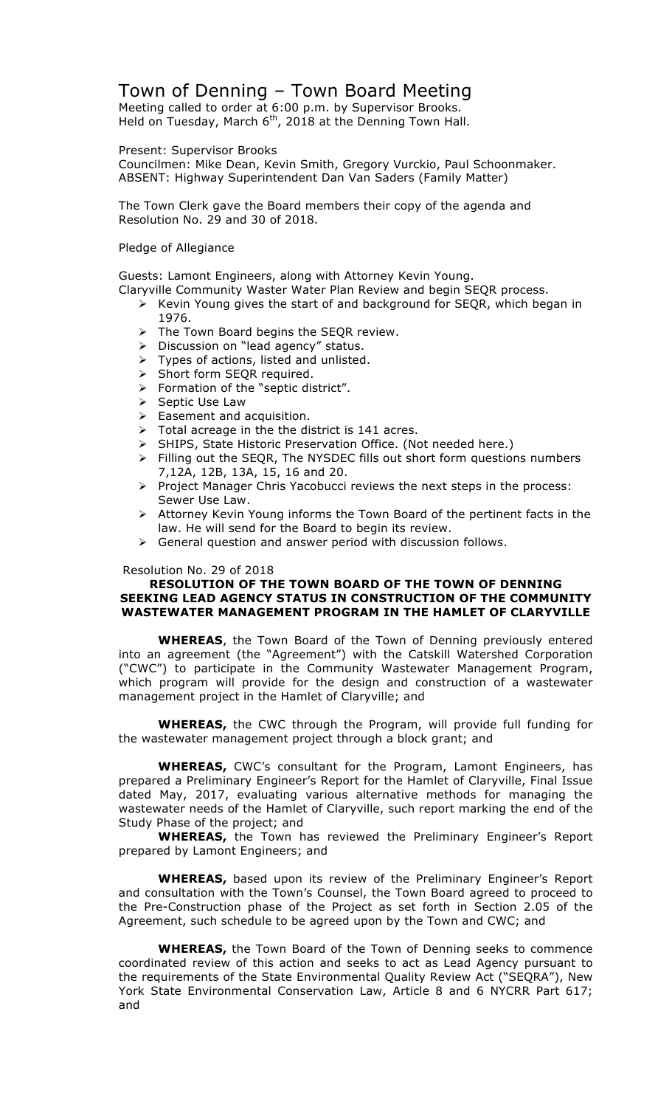## Town of Denning – Town Board Meeting

Meeting called to order at 6:00 p.m. by Supervisor Brooks. Held on Tuesday, March  $6<sup>th</sup>$ , 2018 at the Denning Town Hall.

#### Present: Supervisor Brooks

Councilmen: Mike Dean, Kevin Smith, Gregory Vurckio, Paul Schoonmaker. ABSENT: Highway Superintendent Dan Van Saders (Family Matter)

The Town Clerk gave the Board members their copy of the agenda and Resolution No. 29 and 30 of 2018.

#### Pledge of Allegiance

Guests: Lamont Engineers, along with Attorney Kevin Young.

- Claryville Community Waster Water Plan Review and begin SEQR process.
	- $\triangleright$  Kevin Young gives the start of and background for SEQR, which began in 1976.
	- $\triangleright$  The Town Board begins the SEQR review.
	- > Discussion on "lead agency" status.
	- $\triangleright$  Types of actions, listed and unlisted.
	- > Short form SEQR required.
	- > Formation of the "septic district".
	- $\triangleright$  Septic Use Law
	- $\triangleright$  Easement and acquisition.
	- $\triangleright$  Total acreage in the the district is 141 acres.
	- > SHIPS, State Historic Preservation Office. (Not needed here.)
	- ! Filling out the SEQR, The NYSDEC fills out short form questions numbers 7,12A, 12B, 13A, 15, 16 and 20.
	- $\triangleright$  Project Manager Chris Yacobucci reviews the next steps in the process: Sewer Use Law.
	- $\triangleright$  Attorney Kevin Young informs the Town Board of the pertinent facts in the law. He will send for the Board to begin its review.
	- $\triangleright$  General question and answer period with discussion follows.

## Resolution No. 29 of 2018

### **RESOLUTION OF THE TOWN BOARD OF THE TOWN OF DENNING SEEKING LEAD AGENCY STATUS IN CONSTRUCTION OF THE COMMUNITY WASTEWATER MANAGEMENT PROGRAM IN THE HAMLET OF CLARYVILLE**

**WHEREAS**, the Town Board of the Town of Denning previously entered into an agreement (the "Agreement") with the Catskill Watershed Corporation ("CWC") to participate in the Community Wastewater Management Program, which program will provide for the design and construction of a wastewater management project in the Hamlet of Claryville; and

**WHEREAS,** the CWC through the Program, will provide full funding for the wastewater management project through a block grant; and

**WHEREAS,** CWC's consultant for the Program, Lamont Engineers, has prepared a Preliminary Engineer's Report for the Hamlet of Claryville, Final Issue dated May, 2017, evaluating various alternative methods for managing the wastewater needs of the Hamlet of Claryville, such report marking the end of the Study Phase of the project; and

**WHEREAS,** the Town has reviewed the Preliminary Engineer's Report prepared by Lamont Engineers; and

**WHEREAS,** based upon its review of the Preliminary Engineer's Report and consultation with the Town's Counsel, the Town Board agreed to proceed to the Pre-Construction phase of the Project as set forth in Section 2.05 of the Agreement, such schedule to be agreed upon by the Town and CWC; and

**WHEREAS,** the Town Board of the Town of Denning seeks to commence coordinated review of this action and seeks to act as Lead Agency pursuant to the requirements of the State Environmental Quality Review Act ("SEQRA"), New York State Environmental Conservation Law, Article 8 and 6 NYCRR Part 617; and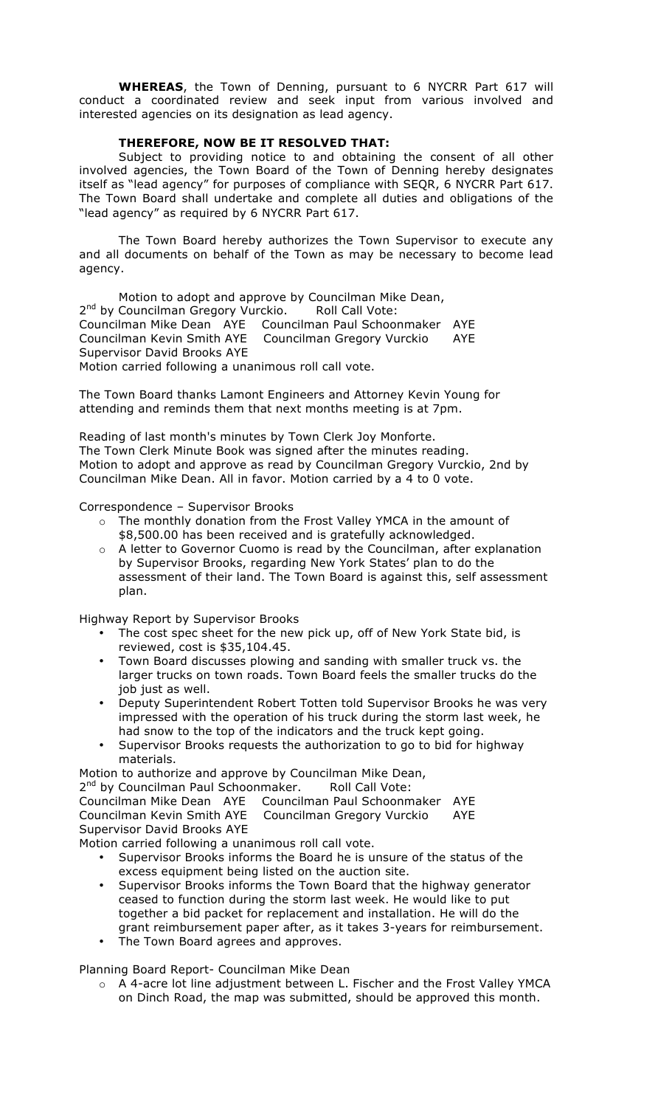**WHEREAS**, the Town of Denning, pursuant to 6 NYCRR Part 617 will conduct a coordinated review and seek input from various involved and interested agencies on its designation as lead agency.

## **THEREFORE, NOW BE IT RESOLVED THAT:**

Subject to providing notice to and obtaining the consent of all other involved agencies, the Town Board of the Town of Denning hereby designates itself as "lead agency" for purposes of compliance with SEQR, 6 NYCRR Part 617. The Town Board shall undertake and complete all duties and obligations of the "lead agency" as required by 6 NYCRR Part 617.

The Town Board hereby authorizes the Town Supervisor to execute any and all documents on behalf of the Town as may be necessary to become lead agency.

Motion to adopt and approve by Councilman Mike Dean, 2<sup>nd</sup> by Councilman Gregory Vurckio. Roll Call Vote: Councilman Mike Dean AYE Councilman Paul Schoonmaker AYE Councilman Kevin Smith AYE Councilman Gregory Vurckio AYE Supervisor David Brooks AYE Motion carried following a unanimous roll call vote.

The Town Board thanks Lamont Engineers and Attorney Kevin Young for attending and reminds them that next months meeting is at 7pm.

Reading of last month's minutes by Town Clerk Joy Monforte. The Town Clerk Minute Book was signed after the minutes reading. Motion to adopt and approve as read by Councilman Gregory Vurckio, 2nd by Councilman Mike Dean. All in favor. Motion carried by a 4 to 0 vote.

Correspondence – Supervisor Brooks

- o The monthly donation from the Frost Valley YMCA in the amount of \$8,500.00 has been received and is gratefully acknowledged.
- o A letter to Governor Cuomo is read by the Councilman, after explanation by Supervisor Brooks, regarding New York States' plan to do the assessment of their land. The Town Board is against this, self assessment plan.

Highway Report by Supervisor Brooks

- The cost spec sheet for the new pick up, off of New York State bid, is reviewed, cost is \$35,104.45.
- Town Board discusses plowing and sanding with smaller truck vs. the larger trucks on town roads. Town Board feels the smaller trucks do the job just as well.
- Deputy Superintendent Robert Totten told Supervisor Brooks he was very impressed with the operation of his truck during the storm last week, he had snow to the top of the indicators and the truck kept going.
- Supervisor Brooks requests the authorization to go to bid for highway materials.

Motion to authorize and approve by Councilman Mike Dean,

2<sup>nd</sup> by Councilman Paul Schoonmaker. Roll Call Vote: Councilman Mike Dean AYE Councilman Paul Schoonmaker AYE

Councilman Kevin Smith AYE Councilman Gregory Vurckio AYE Supervisor David Brooks AYE

Motion carried following a unanimous roll call vote.

- Supervisor Brooks informs the Board he is unsure of the status of the excess equipment being listed on the auction site.
- Supervisor Brooks informs the Town Board that the highway generator ceased to function during the storm last week. He would like to put together a bid packet for replacement and installation. He will do the grant reimbursement paper after, as it takes 3-years for reimbursement.
- The Town Board agrees and approves.

Planning Board Report- Councilman Mike Dean

o A 4-acre lot line adjustment between L. Fischer and the Frost Valley YMCA on Dinch Road, the map was submitted, should be approved this month.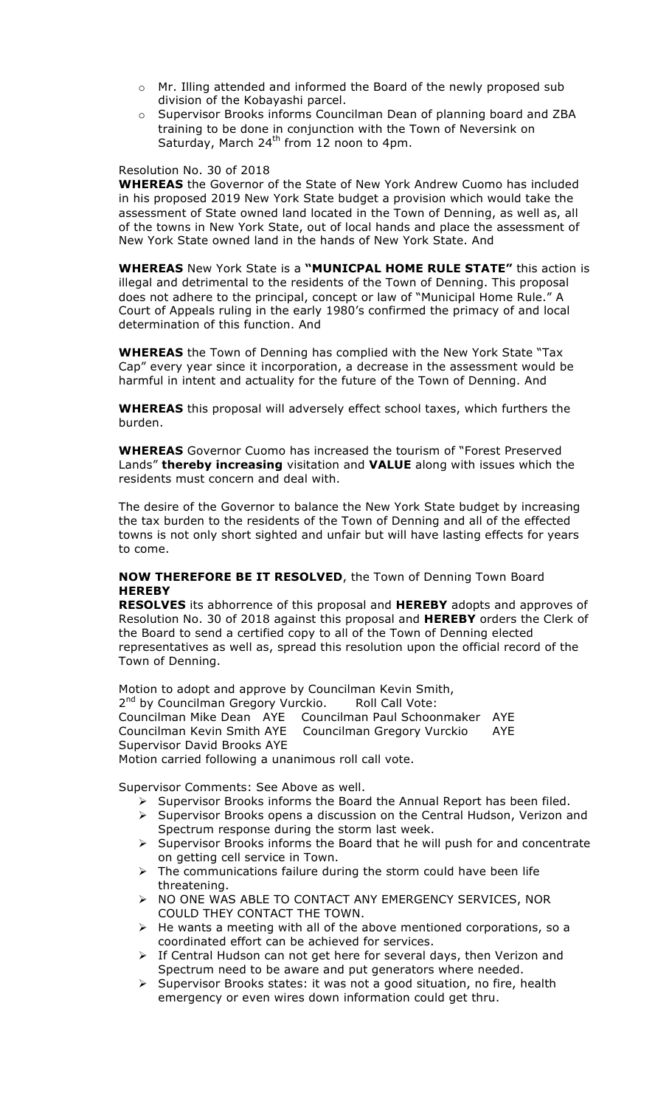- o Mr. Illing attended and informed the Board of the newly proposed sub division of the Kobayashi parcel.
- $\circ$  Supervisor Brooks informs Councilman Dean of planning board and ZBA training to be done in conjunction with the Town of Neversink on Saturday, March  $24^{th}$  from 12 noon to 4pm.

#### Resolution No. 30 of 2018

**WHEREAS** the Governor of the State of New York Andrew Cuomo has included in his proposed 2019 New York State budget a provision which would take the assessment of State owned land located in the Town of Denning, as well as, all of the towns in New York State, out of local hands and place the assessment of New York State owned land in the hands of New York State. And

**WHEREAS** New York State is a **"MUNICPAL HOME RULE STATE"** this action is illegal and detrimental to the residents of the Town of Denning. This proposal does not adhere to the principal, concept or law of "Municipal Home Rule." A Court of Appeals ruling in the early 1980's confirmed the primacy of and local determination of this function. And

**WHEREAS** the Town of Denning has complied with the New York State "Tax Cap" every year since it incorporation, a decrease in the assessment would be harmful in intent and actuality for the future of the Town of Denning. And

**WHEREAS** this proposal will adversely effect school taxes, which furthers the burden.

**WHEREAS** Governor Cuomo has increased the tourism of "Forest Preserved Lands" **thereby increasing** visitation and **VALUE** along with issues which the residents must concern and deal with.

The desire of the Governor to balance the New York State budget by increasing the tax burden to the residents of the Town of Denning and all of the effected towns is not only short sighted and unfair but will have lasting effects for years to come.

#### **NOW THEREFORE BE IT RESOLVED**, the Town of Denning Town Board **HEREBY**

**RESOLVES** its abhorrence of this proposal and **HEREBY** adopts and approves of Resolution No. 30 of 2018 against this proposal and **HEREBY** orders the Clerk of the Board to send a certified copy to all of the Town of Denning elected representatives as well as, spread this resolution upon the official record of the Town of Denning.

Motion to adopt and approve by Councilman Kevin Smith, 2<sup>nd</sup> by Councilman Gregory Vurckio. Roll Call Vote: Councilman Mike Dean AYE Councilman Paul Schoonmaker AYE Councilman Kevin Smith AYE Councilman Gregory Vurckio AYE Supervisor David Brooks AYE Motion carried following a unanimous roll call vote.

Supervisor Comments: See Above as well.

- $\triangleright$  Supervisor Brooks informs the Board the Annual Report has been filed.
- $\triangleright$  Supervisor Brooks opens a discussion on the Central Hudson, Verizon and Spectrum response during the storm last week.
- $\triangleright$  Supervisor Brooks informs the Board that he will push for and concentrate on getting cell service in Town.
- $\triangleright$  The communications failure during the storm could have been life threatening.
- ! NO ONE WAS ABLE TO CONTACT ANY EMERGENCY SERVICES, NOR COULD THEY CONTACT THE TOWN.
- $\triangleright$  He wants a meeting with all of the above mentioned corporations, so a coordinated effort can be achieved for services.
- $\triangleright$  If Central Hudson can not get here for several days, then Verizon and Spectrum need to be aware and put generators where needed.
- $\triangleright$  Supervisor Brooks states: it was not a good situation, no fire, health emergency or even wires down information could get thru.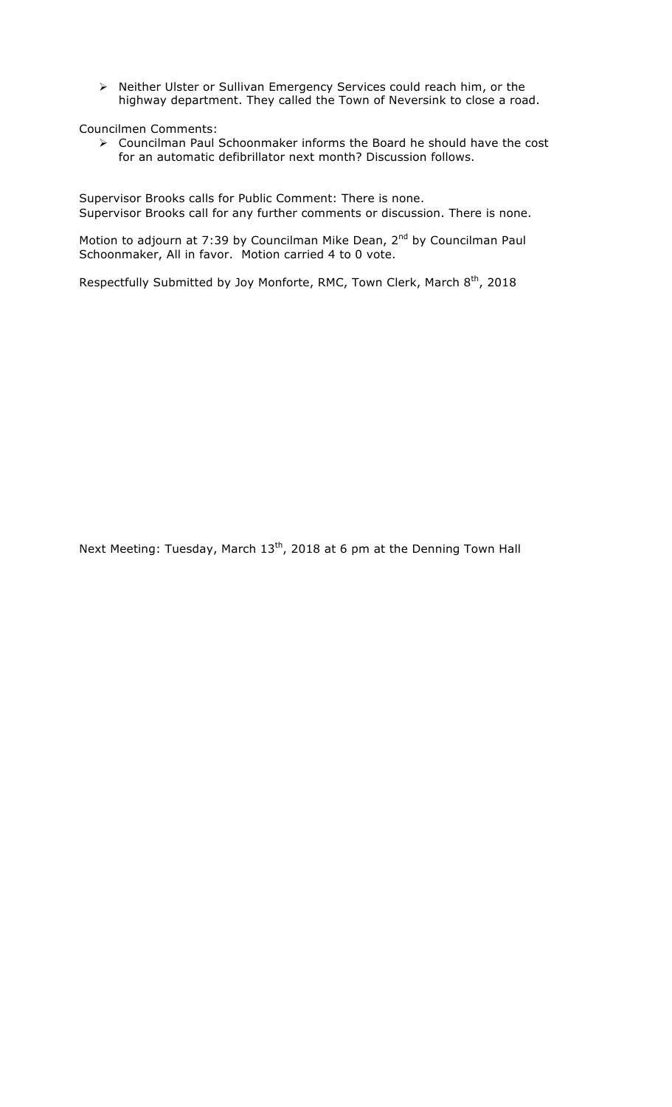! Neither Ulster or Sullivan Emergency Services could reach him, or the highway department. They called the Town of Neversink to close a road.

Councilmen Comments:

 $\triangleright$  Councilman Paul Schoonmaker informs the Board he should have the cost for an automatic defibrillator next month? Discussion follows.

Supervisor Brooks calls for Public Comment: There is none. Supervisor Brooks call for any further comments or discussion. There is none.

Motion to adjourn at 7:39 by Councilman Mike Dean, 2<sup>nd</sup> by Councilman Paul Schoonmaker, All in favor. Motion carried 4 to 0 vote.

Respectfully Submitted by Joy Monforte, RMC, Town Clerk, March  $8^{th}$ , 2018

Next Meeting: Tuesday, March 13<sup>th</sup>, 2018 at 6 pm at the Denning Town Hall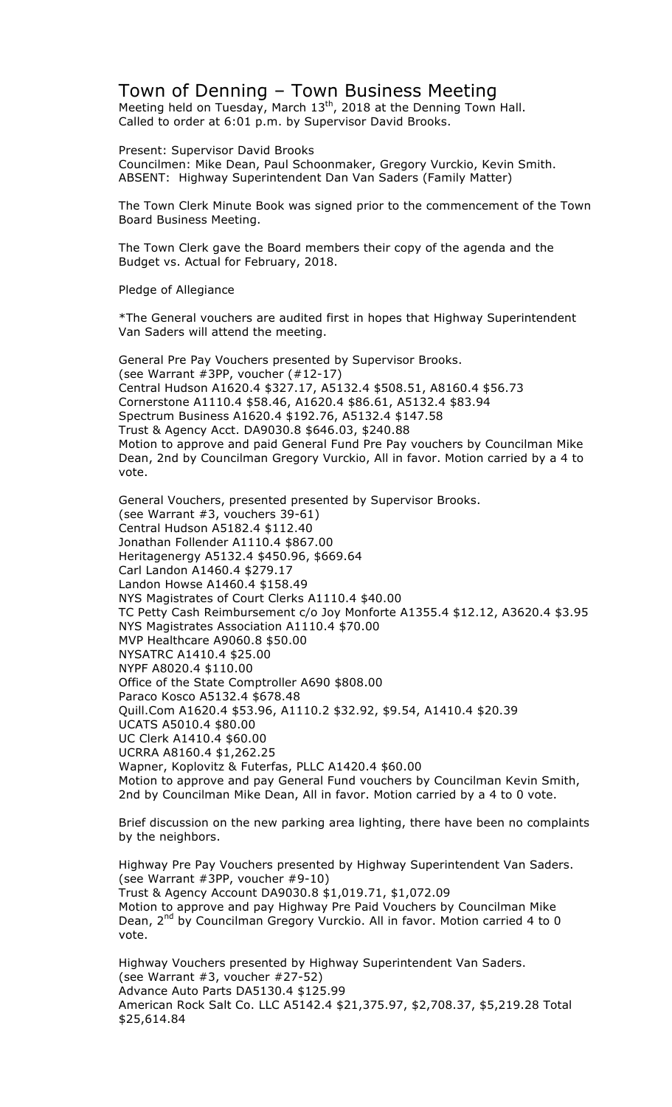# Town of Denning – Town Business Meeting

Meeting held on Tuesday, March  $13<sup>th</sup>$ , 2018 at the Denning Town Hall. Called to order at 6:01 p.m. by Supervisor David Brooks.

Present: Supervisor David Brooks Councilmen: Mike Dean, Paul Schoonmaker, Gregory Vurckio, Kevin Smith. ABSENT: Highway Superintendent Dan Van Saders (Family Matter)

The Town Clerk Minute Book was signed prior to the commencement of the Town Board Business Meeting.

The Town Clerk gave the Board members their copy of the agenda and the Budget vs. Actual for February, 2018.

Pledge of Allegiance

\*The General vouchers are audited first in hopes that Highway Superintendent Van Saders will attend the meeting.

General Pre Pay Vouchers presented by Supervisor Brooks. (see Warrant #3PP, voucher (#12-17) Central Hudson A1620.4 \$327.17, A5132.4 \$508.51, A8160.4 \$56.73 Cornerstone A1110.4 \$58.46, A1620.4 \$86.61, A5132.4 \$83.94 Spectrum Business A1620.4 \$192.76, A5132.4 \$147.58 Trust & Agency Acct. DA9030.8 \$646.03, \$240.88 Motion to approve and paid General Fund Pre Pay vouchers by Councilman Mike Dean, 2nd by Councilman Gregory Vurckio, All in favor. Motion carried by a 4 to vote.

General Vouchers, presented presented by Supervisor Brooks. (see Warrant #3, vouchers 39-61) Central Hudson A5182.4 \$112.40 Jonathan Follender A1110.4 \$867.00 Heritagenergy A5132.4 \$450.96, \$669.64 Carl Landon A1460.4 \$279.17 Landon Howse A1460.4 \$158.49 NYS Magistrates of Court Clerks A1110.4 \$40.00 TC Petty Cash Reimbursement c/o Joy Monforte A1355.4 \$12.12, A3620.4 \$3.95 NYS Magistrates Association A1110.4 \$70.00 MVP Healthcare A9060.8 \$50.00 NYSATRC A1410.4 \$25.00 NYPF A8020.4 \$110.00 Office of the State Comptroller A690 \$808.00 Paraco Kosco A5132.4 \$678.48 Quill.Com A1620.4 \$53.96, A1110.2 \$32.92, \$9.54, A1410.4 \$20.39 UCATS A5010.4 \$80.00 UC Clerk A1410.4 \$60.00 UCRRA A8160.4 \$1,262.25 Wapner, Koplovitz & Futerfas, PLLC A1420.4 \$60.00 Motion to approve and pay General Fund vouchers by Councilman Kevin Smith, 2nd by Councilman Mike Dean, All in favor. Motion carried by a 4 to 0 vote.

Brief discussion on the new parking area lighting, there have been no complaints by the neighbors.

Highway Pre Pay Vouchers presented by Highway Superintendent Van Saders. (see Warrant #3PP, voucher #9-10) Trust & Agency Account DA9030.8 \$1,019.71, \$1,072.09 Motion to approve and pay Highway Pre Paid Vouchers by Councilman Mike Dean, 2<sup>nd</sup> by Councilman Gregory Vurckio. All in favor. Motion carried 4 to 0 vote.

Highway Vouchers presented by Highway Superintendent Van Saders. (see Warrant #3, voucher #27-52) Advance Auto Parts DA5130.4 \$125.99 American Rock Salt Co. LLC A5142.4 \$21,375.97, \$2,708.37, \$5,219.28 Total \$25,614.84